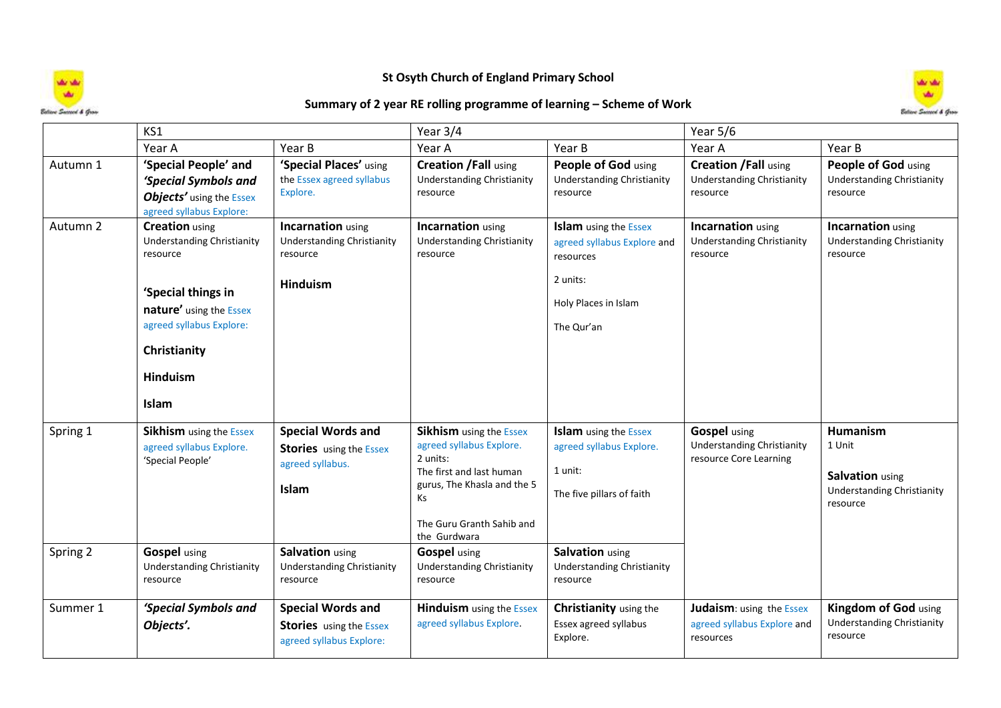

## **St Osyth Church of England Primary School**



## **Summary of 2 year RE rolling programme of learning – Scheme of Work**

|                      | KS1                                                                                                                                                                                             |                                                                                                            | Year 3/4                                                                                                                                                                                                           |                                                                                                                            | Year $5/6$                                                                         |                                                                                               |
|----------------------|-------------------------------------------------------------------------------------------------------------------------------------------------------------------------------------------------|------------------------------------------------------------------------------------------------------------|--------------------------------------------------------------------------------------------------------------------------------------------------------------------------------------------------------------------|----------------------------------------------------------------------------------------------------------------------------|------------------------------------------------------------------------------------|-----------------------------------------------------------------------------------------------|
|                      | Year A                                                                                                                                                                                          | Year B                                                                                                     | Year A                                                                                                                                                                                                             | Year B                                                                                                                     | Year A                                                                             | Year B                                                                                        |
| Autumn 1             | 'Special People' and<br>'Special Symbols and<br>Objects' using the Essex<br>agreed syllabus Explore:                                                                                            | 'Special Places' using<br>the Essex agreed syllabus<br>Explore.                                            | <b>Creation /Fall using</b><br><b>Understanding Christianity</b><br>resource                                                                                                                                       | People of God using<br><b>Understanding Christianity</b><br>resource                                                       | <b>Creation /Fall using</b><br><b>Understanding Christianity</b><br>resource       | People of God using<br><b>Understanding Christianity</b><br>resource                          |
| Autumn 2             | <b>Creation</b> using<br><b>Understanding Christianity</b><br>resource<br>'Special things in<br>nature' using the Essex<br>agreed syllabus Explore:<br>Christianity<br><b>Hinduism</b><br>Islam | <b>Incarnation</b> using<br><b>Understanding Christianity</b><br>resource<br><b>Hinduism</b>               | <b>Incarnation</b> using<br><b>Understanding Christianity</b><br>resource                                                                                                                                          | <b>Islam</b> using the Essex<br>agreed syllabus Explore and<br>resources<br>2 units:<br>Holy Places in Islam<br>The Qur'an | <b>Incarnation</b> using<br><b>Understanding Christianity</b><br>resource          | <b>Incarnation</b> using<br><b>Understanding Christianity</b><br>resource                     |
| Spring 1<br>Spring 2 | <b>Sikhism</b> using the Essex<br>agreed syllabus Explore.<br>'Special People'<br><b>Gospel</b> using                                                                                           | <b>Special Words and</b><br><b>Stories</b> using the Essex<br>agreed syllabus.<br>Islam<br>Salvation using | <b>Sikhism</b> using the Essex<br>agreed syllabus Explore.<br>2 units:<br>The first and last human<br>gurus, The Khasla and the 5<br><b>Ks</b><br>The Guru Granth Sahib and<br>the Gurdwara<br><b>Gospel</b> using | <b>Islam</b> using the Essex<br>agreed syllabus Explore.<br>1 unit:<br>The five pillars of faith<br>Salvation using        | <b>Gospel</b> using<br><b>Understanding Christianity</b><br>resource Core Learning | Humanism<br>1 Unit<br><b>Salvation</b> using<br><b>Understanding Christianity</b><br>resource |
|                      | <b>Understanding Christianity</b><br>resource                                                                                                                                                   | <b>Understanding Christianity</b><br>resource                                                              | <b>Understanding Christianity</b><br>resource                                                                                                                                                                      | <b>Understanding Christianity</b><br>resource                                                                              |                                                                                    |                                                                                               |
| Summer 1             | 'Special Symbols and<br>Objects'.                                                                                                                                                               | <b>Special Words and</b><br><b>Stories</b> using the Essex<br>agreed syllabus Explore:                     | <b>Hinduism</b> using the Essex<br>agreed syllabus Explore.                                                                                                                                                        | <b>Christianity</b> using the<br>Essex agreed syllabus<br>Explore.                                                         | <b>Judaism:</b> using the Essex<br>agreed syllabus Explore and<br>resources        | Kingdom of God using<br><b>Understanding Christianity</b><br>resource                         |